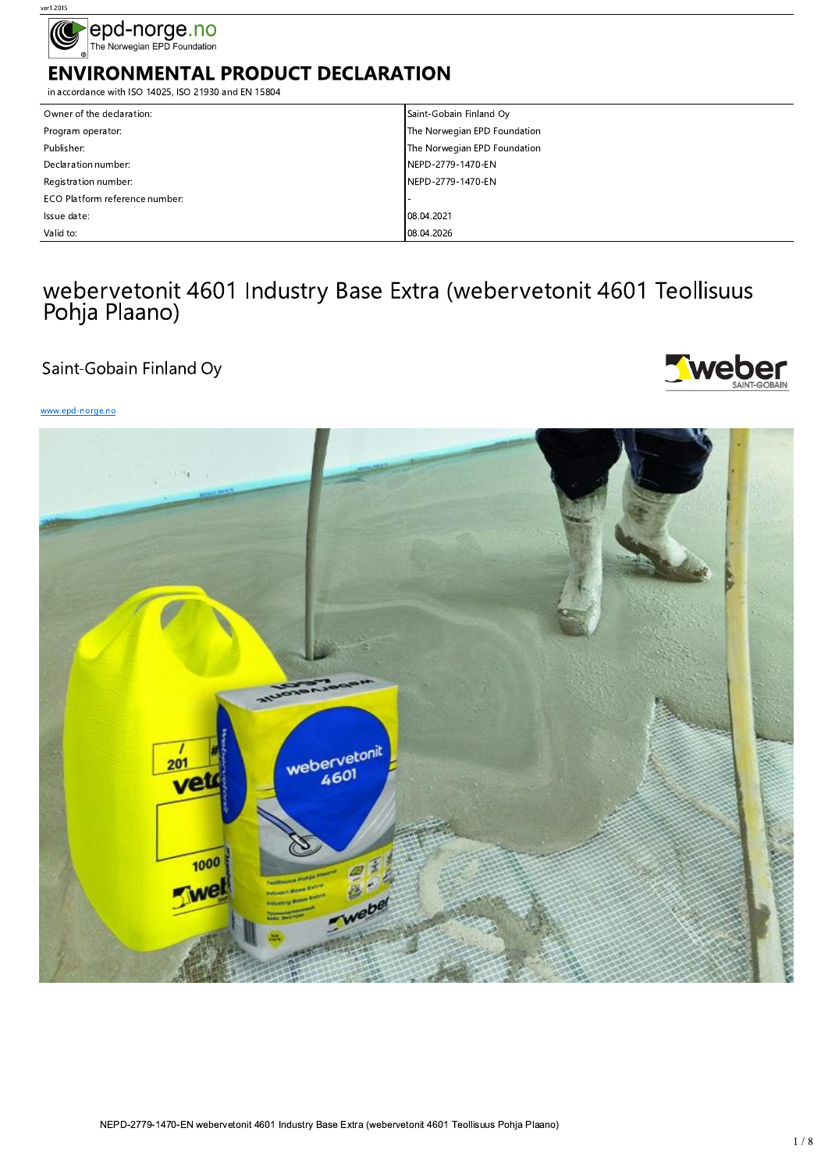

# **ENVIRONMENTAL PRODUCT DECLARATION**

in accordance with ISO 14025, ISO 21930 and EN 15804

| Owner of the declaration:      | Saint-Gobain Finland Oy      |
|--------------------------------|------------------------------|
| Program operator:              | The Norwegian EPD Foundation |
| Publisher:                     | The Norwegian EPD Foundation |
| Declaration number:            | NEPD-2779-1470-EN            |
| Registration number:           | NEPD-2779-1470-EN            |
| ECO Platform reference number: |                              |
| Issue date:                    | 08.04.2021                   |
| Valid to:                      | 08.04.2026                   |

# webervetonit 4601 Industry Base Extra (webervetonit 4601 Teollisuus Pohja Plaano)

# Saint-Gobain Finland Oy



## www.epd-norge.no

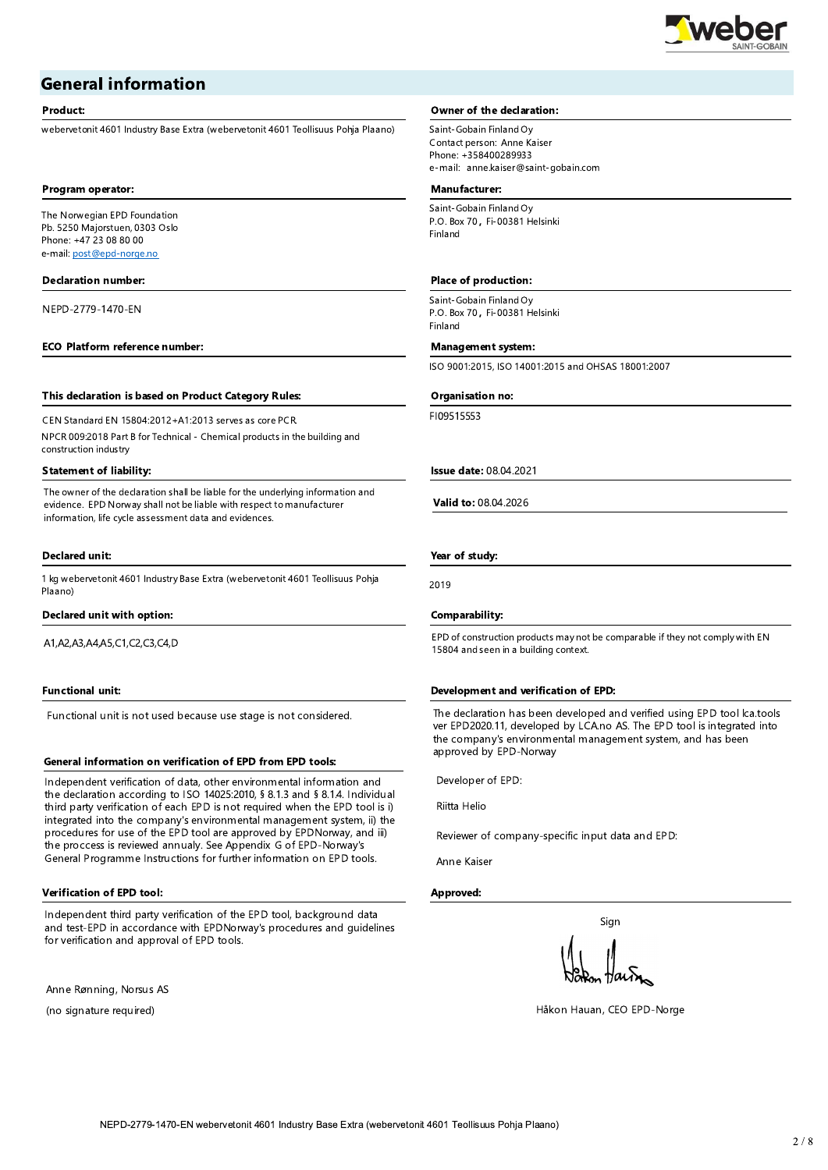

# **General information**

#### Product:

webervetonit 4601 Industry Base Extra (webervetonit 4601 Teollisuus Pohja Plaano)

#### Program operator:

The Norwegian EPD Foundation Pb. 5250 Majorstuen, 0303 Oslo Phone: +47 23 08 80 00 e-mail: post@epd-norge.no

#### **Declaration number:**

NEPD-2779-1470-EN

#### **ECO Platform reference number:**

#### This declaration is based on Product Category Rules:

CEN Standard EN 15804:2012+A1:2013 serves as core PCR. NPCR 009:2018 Part B for Technical - Chemical products in the building and construction industry

#### **Statement of liability:**

The owner of the declaration shall be liable for the underlying information and evidence. EPD Norway shall not be liable with respect to manufacturer information, life cycle assessment data and evidences.

#### **Declared unit:**

1 kg webervetonit 4601 Industry Base Extra (webervetonit 4601 Teollisuus Pohja Plaano)

#### Declared unit with option:

A1, A2, A3, A4, A5, C1, C2, C3, C4, D

#### **Functional unit:**

Functional unit is not used because use stage is not considered.

#### General information on verification of EPD from EPD tools:

Independent verification of data, other environmental information and the declaration according to ISO 14025:2010, § 8.1.3 and § 8.1.4. Individual third party verification of each EPD is not required when the EPD tool is i) integrated into the company's environmental management system, ii) the procedures for use of the EPD tool are approved by EPDNorway, and iii) the proccess is reviewed annualy. See Appendix G of EPD-Norway's General Programme Instructions for further information on EPD tools.

#### **Verification of EPD tool:**

Independent third party verification of the EPD tool, background data and test-EPD in accordance with EPDNorway's procedures and guidelines for verification and approval of EPD tools.

Anne Rønning, Norsus AS

(no signature required)

#### **Owner of the declaration:**

Saint-Gobain Finland Oy Contact person: Anne Kaiser Phone: +358400289933 e-mail: anne.kaiser@saint-gobain.com

## Manufacturer:

Saint-Gobain Finland Oy P.O. Box 70, Fi-00381 Helsinki Finland

#### Place of production:

Saint-Gobain Finland Oy P.O. Box 70, Fi-00381 Helsinki Finland

#### **Management system:**

ISO 9001:2015, ISO 14001:2015 and OHSAS 18001:2007

#### Organisation no:

F109515553

**Issue date: 08.04.2021** 

Valid to: 08.04.2026

## Year of study:

2019

#### Comparability:

EPD of construction products may not be comparable if they not comply with EN 15804 and seen in a building context.

#### Development and verification of EPD:

The declaration has been developed and verified using EPD tool lca.tools ver EPD2020.11, developed by LCA.no AS. The EPD tool is integrated into the company's environmental management system, and has been approved by EPD-Norway

Developer of EPD:

Riitta Helio

Reviewer of company-specific input data and EPD:

Anne Kaiser

#### Approved:

Sian

Håkon Hauan, CEO EPD-Norge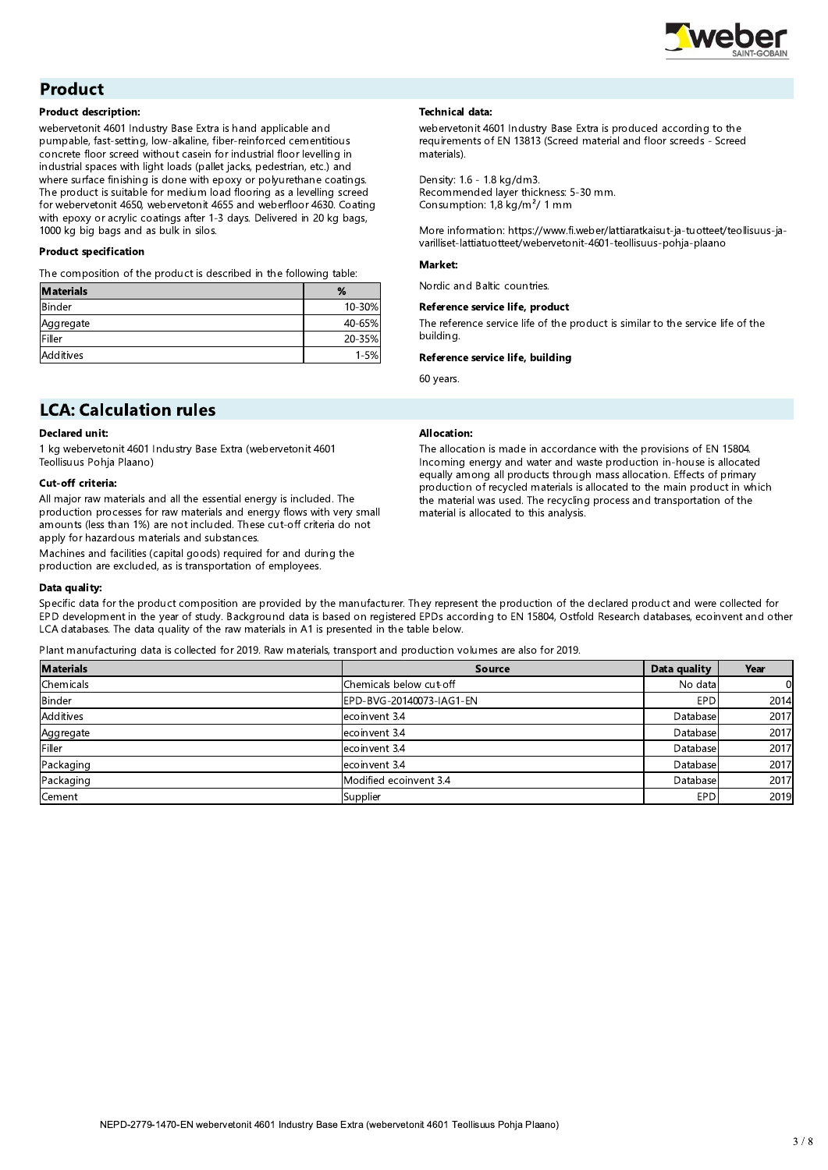

# **Product**

#### **Product description:**

webervetonit 4601 Industry Base Extra is hand applicable and pumpable, fast-setting, low-alkaline, fiber-reinforced cementitious concrete floor screed without casein for industrial floor levelling in industrial spaces with light loads (pallet jacks, pedestrian, etc.) and where surface finishing is done with epoxy or polyurethane coatings. The product is suitable for medium load flooring as a levelling screed for webervetonit 4650, webervetonit 4655 and weberfloor 4630. Coating with epoxy or acrylic coatings after 1-3 days. Delivered in 20 kg bags, 1000 kg big bags and as bulk in silos.

#### **Product specification**

The composition of the product is described in the following table:

| <b>Materials</b> | %        |
|------------------|----------|
| Binder           | 10-30%   |
| Aggregate        | 40-65%   |
| Filler           | 20-35%   |
| <b>Additives</b> | $1 - 5%$ |

# **Technical data:**

webervetonit 4601 Industry Base Extra is produced according to the requirements of EN 13813 (Screed material and floor screeds - Screed materials).

Density: 1.6 - 1.8 kg/dm3. Recommended laver thickness: 5-30 mm. Consumption: 1,8 kg/m<sup>2</sup>/ 1 mm

More information: https://www.fi.weber/lattiaratkaisut-ja-tuotteet/teollisuus-javarilliset-lattiatuotteet/webervetonit-4601-teollisuus-pohja-plaano

#### Market:

Nordic and Baltic countries.

#### Reference service life, product

The reference service life of the product is similar to the service life of the buildina.

The allocation is made in accordance with the provisions of EN 15804. Incoming energy and water and waste production in-house is allocated

equally among all products through mass allocation. Effects of primary

the material was used. The recycling process and transportation of the

production of recycled materials is allocated to the main product in which

#### Reference service life, building

material is allocated to this analysis.

60 years.

**Allocation:** 

# **LCA: Calculation rules**

## **Declared unit:**

1 kg webervetonit 4601 Industry Base Extra (webervetonit 4601 Teollisuus Pohja Plaano)

#### **Cut-off criteria:**

All major raw materials and all the essential energy is included. The production processes for raw materials and energy flows with very small amounts (less than 1%) are not included. These cut-off criteria do not apply for hazardous materials and substances

Machines and facilities (capital goods) required for and during the production are excluded, as is transportation of employees.

#### Data quality:

Specific data for the product composition are provided by the manufacturer. They represent the production of the declared product and were collected for EPD development in the year of study. Background data is based on registered EPDs according to EN 15804, Ostfold Research databases, ecoinvent and other LCA databases. The data quality of the raw materials in A1 is presented in the table below.

Plant manufacturing data is collected for 2019. Raw materials, transport and production volumes are also for 2019.

| <b>Materials</b> | <b>Source</b>            | Data quality | Year |
|------------------|--------------------------|--------------|------|
| Chemicals        | Chemicals below cut-off  | No data      |      |
| <b>Binder</b>    | EPD-BVG-20140073-IAG1-EN | <b>EPD</b>   | 2014 |
| Additives        | ecoinvent 3.4            | Database     | 2017 |
| Aggregate        | ecoinvent 3.4            | Database     | 2017 |
| Filler           | ecoinvent 3.4            | Database     | 2017 |
| Packaging        | ecoinvent 3.4            | Database     | 2017 |
| Packaging        | Modified ecoinvent 3.4   | Database     | 2017 |
| Cement           | Supplier                 | <b>EPD</b>   | 2019 |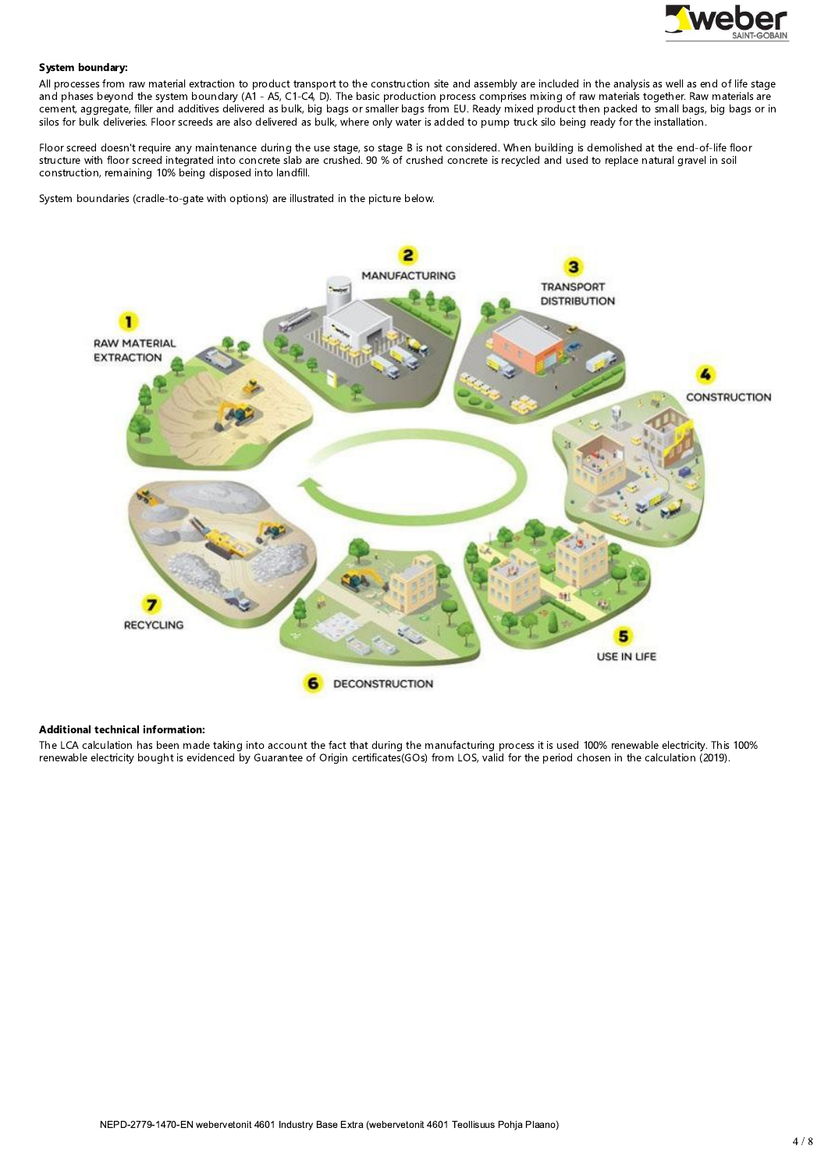

#### System boundary:

All processes from raw material extraction to product transport to the construction site and assembly are included in the analysis as well as end of life stage and phases beyond the system boundary (A1 - A5, C1-C4, D). The basic production process comprises mixing of raw materials together. Raw materials are cement, aggregate, filler and additives delivered as bulk, big bags or smaller bags from EU. Ready mixed product then packed to small bags, big bags or in silos for bulk deliveries. Floor screeds are also delivered as bulk, where only water is added to pump truck silo being ready for the installation.

Floor screed doesn't require any maintenance during the use stage, so stage B is not considered. When building is demolished at the end-of-life floor structure with floor screed integrated into concrete slab are crushed. 90 % of crushed concrete is recycled and used to replace natural gravel in soil construction, remaining 10% being disposed into landfill.

System boundaries (cradle-to-gate with options) are illustrated in the picture below.



#### **Additional technical information:**

The LCA calculation has been made taking into account the fact that during the manufacturing process it is used 100% renewable electricity. This 100% renewable electricity bought is evidenced by Guarantee of Origin certificates(GOs) from LOS, valid for the period chosen in the calculation (2019).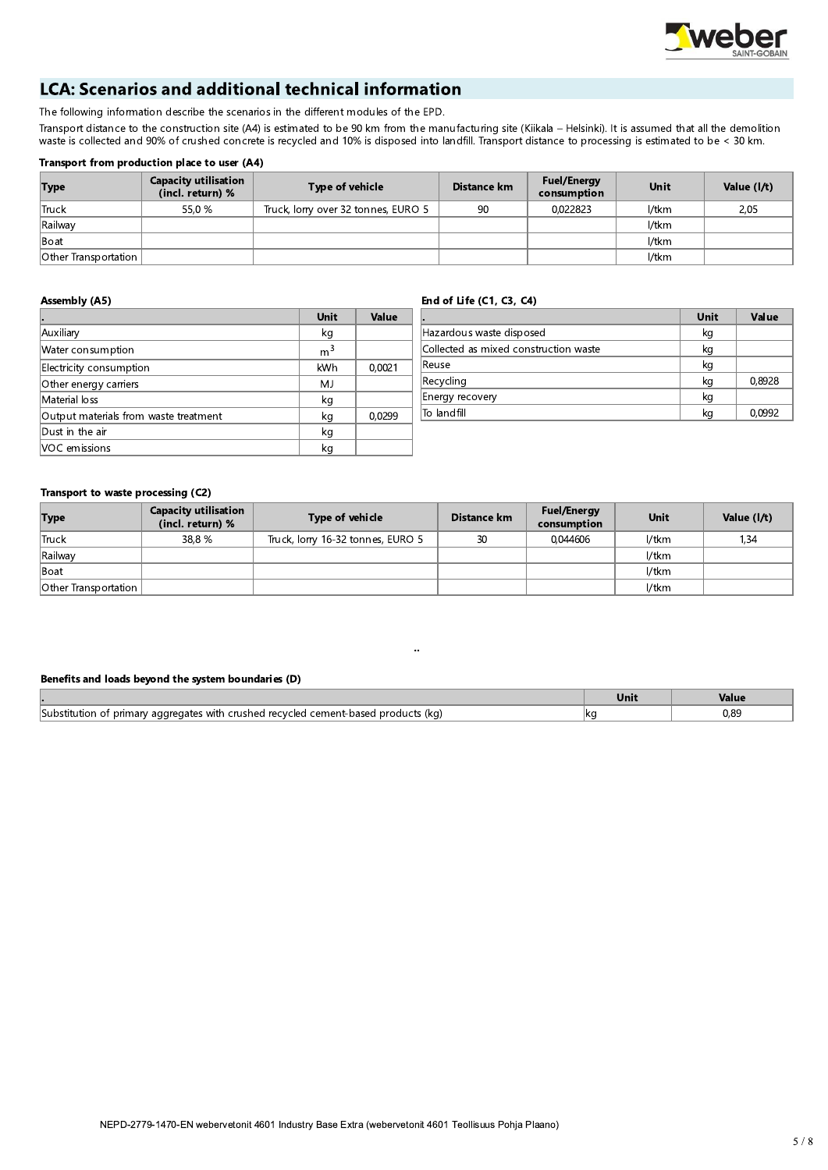

# **LCA: Scenarios and additional technical information**

The following information describe the scenarios in the different modules of the EPD.

Transport distance to the construction site (A4) is estimated to be 90 km from the manufacturing site (Kiikala - Helsinki). It is assumed that all the demolition waste is collected and 90% of crushed concrete is recycled and 10% is disposed into landfill. Transport distance to processing is estimated to be < 30 km.

## Transport from production place to user (A4)

| <b>Type</b>                 | <b>Capacity utilisation</b><br>(incl. return) % | Type of vehicle                     | Distance km | <b>Fuel/Energy</b><br>consumption | <b>Unit</b> | Value (I/t) |
|-----------------------------|-------------------------------------------------|-------------------------------------|-------------|-----------------------------------|-------------|-------------|
| <b>Truck</b>                | 55.0 %                                          | Truck, lorry over 32 tonnes, EURO 5 | 90          | 0.022823                          | l/tkm       | 2,05        |
| Railway                     |                                                 |                                     |             |                                   | l/tkm       |             |
| Boat                        |                                                 |                                     |             |                                   | l/tkm       |             |
| <b>Other Transportation</b> |                                                 |                                     |             |                                   | l/tkm       |             |

## **Assembly (A5)**

#### End of Life (C1, C3, C4)

|                                       | Unit           | Value  |
|---------------------------------------|----------------|--------|
| Auxiliary                             | kg             |        |
| Water consumption                     | m <sup>3</sup> |        |
| Electricity consumption               | kWh            | 0,0021 |
| Other energy carriers                 | MJ             |        |
| Material loss                         | kg             |        |
| Output materials from waste treatment | kg             | 0,0299 |
| Dust in the air                       | kg             |        |
| VOC emissions                         | kq             |        |

|                                       | Unit | Value  |
|---------------------------------------|------|--------|
| Hazardous waste disposed              | kg   |        |
| Collected as mixed construction waste | kg   |        |
| Reuse                                 | kg   |        |
| Recycling                             | kg   | 0,8928 |
| Energy recovery                       | kg   |        |
| To landfill                           | kg   | 0,0992 |

## Transport to waste processing (C2)

| <b>Type</b>                 | <b>Capacity utilisation</b><br>(incl. return) % | Type of vehicle                   | Distance km | <b>Fuel/Energy</b><br>consumption | <b>Unit</b> | Value (I/t) |
|-----------------------------|-------------------------------------------------|-----------------------------------|-------------|-----------------------------------|-------------|-------------|
| <b>Truck</b>                | 38.8 %                                          | Truck, lorry 16-32 tonnes, EURO 5 | 30          | 0.044606                          | l/tkm       | 1,34        |
| Railway                     |                                                 |                                   |             |                                   | l/tkm       |             |
| Boat                        |                                                 |                                   |             |                                   | l/tkm       |             |
| <b>Other Transportation</b> |                                                 |                                   |             |                                   | l/tkm       |             |

#### Benefits and loads beyond the system boundaries (D)

|                                                                                                                     | <b>Unit</b> | Value                  |
|---------------------------------------------------------------------------------------------------------------------|-------------|------------------------|
| <b>Substitution</b><br>! products (ka)<br>d recvcled cement-based.<br>crushed<br>nary aggregates with<br>prim<br>-- | -lka        | $\cap$ $\cap'$<br>v.os |

 $\ddot{\phantom{a}}$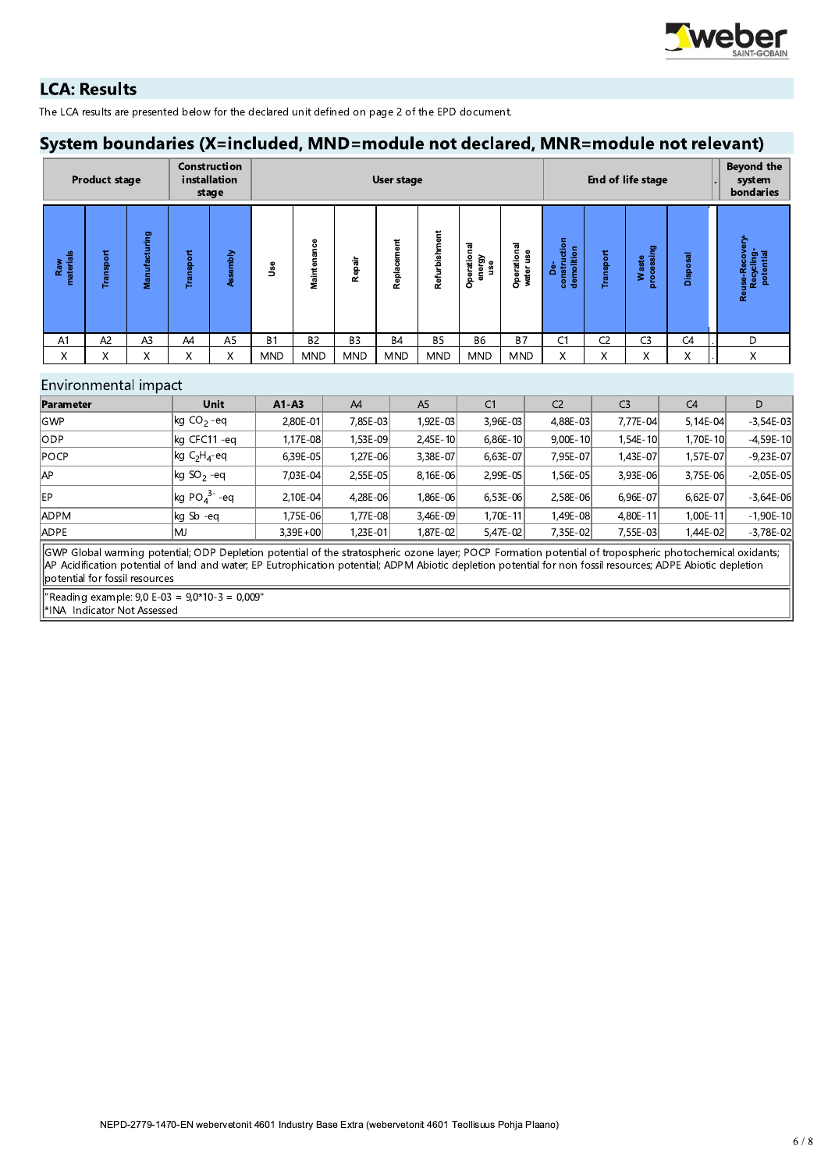

# **LCA: Results**

The LCA results are presented below for the declared unit defined on page 2 of the EPD document.

# System boundaries (X=included, MND=module not declared, MNR=module not relevant)

|                  | <b>Product stage</b> |                |                   | <b>Construction</b><br>installation<br>stage |            |                                |                | User stage       |               |                                |                          | End of life stage                |                |                         |          | Beyond the<br>system<br>bondaries    |
|------------------|----------------------|----------------|-------------------|----------------------------------------------|------------|--------------------------------|----------------|------------------|---------------|--------------------------------|--------------------------|----------------------------------|----------------|-------------------------|----------|--------------------------------------|
| Raw<br>materials | Transport            | Manufacturing  | Transport         | embly<br>ğ                                   | ەئ<br>9    | 8<br>듦<br>ä<br>٠<br>Maint<br>M | Repair         | ement<br>Replace | Refurbishment | ē<br>Operatio<br>energy<br>use | Operational<br>water use | construction<br>demolition<br>కి | Transport      | processing<br>aste<br>š | Disposal | Recycling<br>potential<br>Reuse-Reco |
| A <sub>1</sub>   | A <sub>2</sub>       | A <sub>3</sub> | A4                | A <sub>5</sub>                               | <b>B1</b>  | <b>B2</b>                      | B <sub>3</sub> | <b>B4</b>        | <b>B5</b>     | <b>B6</b>                      | <b>B7</b>                | C1                               | C <sub>2</sub> | C <sub>3</sub>          | C4       | D                                    |
| X                | X                    | Χ              | $\checkmark$<br>^ | X                                            | <b>MND</b> | <b>MND</b>                     | <b>MND</b>     | <b>MND</b>       | <b>MND</b>    | <b>MND</b>                     | <b>MND</b>               | X.                               | X              | $\checkmark$<br>A       | X        | X                                    |

## Environmental impact

| Parameter       | <b>Unit</b>                      | $A1 - A3$  | A4       | A <sub>5</sub> | C <sub>1</sub> | C <sub>2</sub> | C <sub>3</sub> | C <sub>4</sub> | D             |
|-----------------|----------------------------------|------------|----------|----------------|----------------|----------------|----------------|----------------|---------------|
| lgwp            | $\log$ CO <sub>2</sub> -eq       | 2,80E-01   | 7,85E-03 | 1,92E-03       | 3,96E-03       | 4,88E-03       | 7,77E-04       | $5,14E-04$     | $-3,54E-03$   |
| lodp.           | kg CFC11 -eg                     | 1,17E-08   | 1,53E-09 | $2,45E-10$     | $6,86E-10$     | $9,00E-10$     | 1,54E-10       | 1.70E-10       | $-4,59E-10$   |
| $\mathsf{POCP}$ | $\log C_{2}H_{4}$ -eq            | 6.39E-05   | 1.27E-06 | 3,38E-07       | $6.63E-07$     | 7.95E-07       | 1,43E-07       | 1,57E-07l      | $-9,23E-07$   |
| AP              | $\left \log$ SO <sub>2</sub> -eq | 7.03E-04   | 2,55E-05 | 8.16E-06       | 2,99E-05       | 1,56E-05       | 3,93E-06       | 3.75E-06       | $-2.05E-05$   |
| EP              | $\log$ PO $_4$ <sup>3-</sup> -eq | $2,10E-04$ | 4,28E-06 | 1,86E-06       | 6,53E-06       | 2,58E-06       | 6.96E-07       | $6.62E - 07$   | $-3.64E - 06$ |
| ADPM            | kg Sb -eg                        | 1,75E-06   | 1,77E-08 | 3,46E-09       | 1,70E-11       | 1,49E-08       | 4,80E-11       | 1,00E-11       | $-1,90E-10$   |
| ADPE            | MJ                               | $3,39E+00$ | 1,23E-01 | 1,87E-02       | 5,47E-02       | 7,35E-02       | 7,55E-03       | 1,44E-02       | $-3,78E-02$   |

GWP Global warming potential; ODP Depletion potential of the stratospheric ozone layer; POCP Formation potential of tropospheric photochemical oxidants; AP Acidification potential of land and water, EP Eutrophication potential, ADPM Abiotic depletion potential for non fossil resources, ADPE Abiotic depletion potential for fossil resources

"Reading example:  $9,0 E-03 = 9,0*10-3 = 0,009"$ \*INA Indicator Not Assessed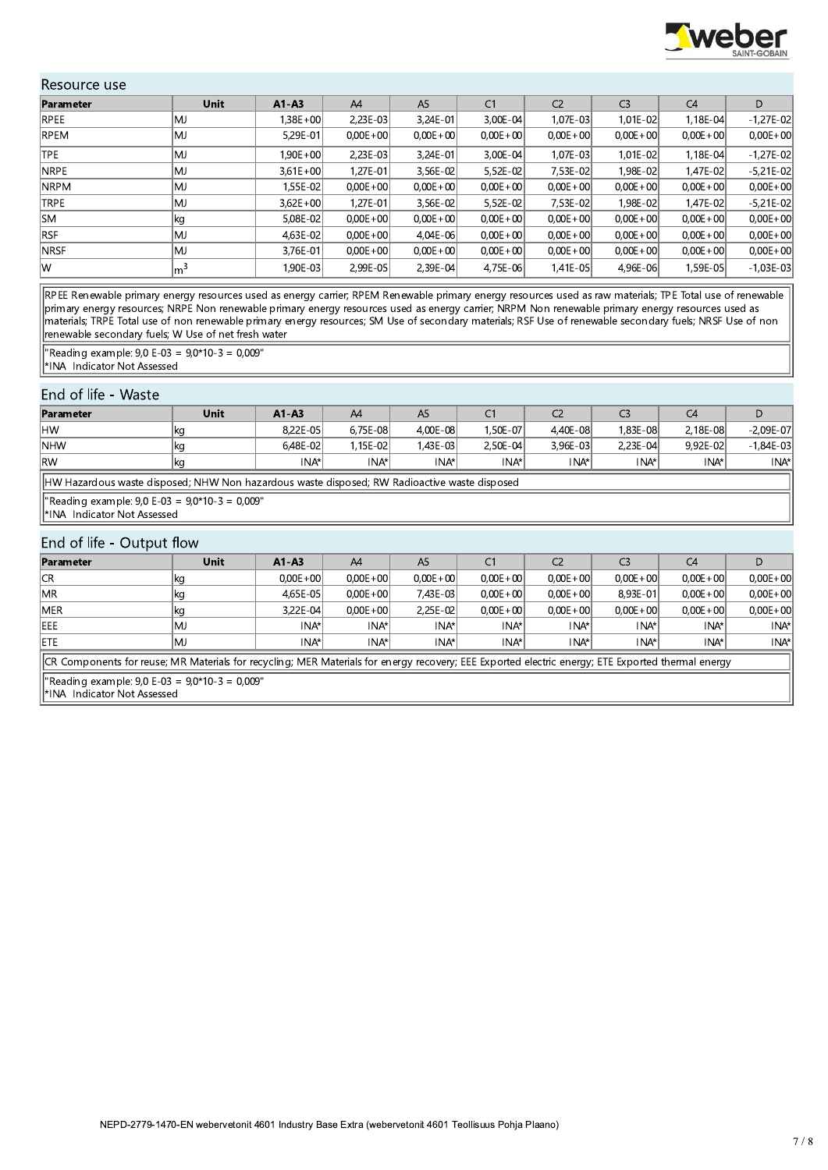

# Resource use

| Parameter    | <b>Unit</b>    | $A1 - A3$    | A4           | A <sub>5</sub> | C <sub>1</sub> | C <sub>2</sub> | C <sub>3</sub> | C <sub>4</sub> | D            |
|--------------|----------------|--------------|--------------|----------------|----------------|----------------|----------------|----------------|--------------|
| RPEE         | MJ             | 1,38E+00     | $2,23E-03$   | $3,24E-01$     | 3,00E-04       | $1,07E-03$     | 1,01E-02       | 1,18E-04       | $-1,27E-02$  |
| <b>RPEM</b>  | lMJ            | 5,29E-01     | $0,00E + 00$ | $0,00E + 00$   | $0,00E + 00$   | $0,00E + 00$   | $0,00E + 00$   | $0,00E + 00$   | $0,00E + 00$ |
| <b>TPE</b>   | MJ             | $1,90E + 00$ | $2,23E-03$   | 3,24E-01       | $3,00E-04$     | 1.07E-03       | $1,01E-02$     | 1.18E-04       | $-1,27E-02$  |
| <b>INRPE</b> | MJ             | $3.61E + 00$ | $1,27E-01$   | $3.56E-02$     | 5,52E-02       | 7,53E-02       | 1,98E-02       | 1,47E-02l      | $-5.21E-02$  |
| <b>NRPM</b>  | MJ             | .55E-02      | $0.00E + 00$ | $0.00E + 00$   | $0.00E + 00$   | $0.00E + 00$   | $0.00E + 00$   | $0.00E + 00$   | $0,00E + 00$ |
| <b>TRPE</b>  | MJ             | $3,62E + 00$ | $1,27E-01$   | $3,56E-02$     | 5,52E-02       | 7,53E-02       | 1,98E-02       | 1,47E-02       | $-5,21E-02$  |
| SM           | ∣kg            | 5,08E-02     | $0,00E + 00$ | $0.00E + 00$   | $0,00E + 00$   | $0,00E + 00$   | $0,00E + 00$   | $0,00E + 00$   | $0,00E + 00$ |
| <b>RSF</b>   | MJ             | 4,63E-02     | $0.00E + 00$ | 4,04E-06       | $0.00E + 00$   | $0.00E + 00$   | $0.00E + 00$   | $0.00E + 00$   | $0.00E + 00$ |
| <b>INRSF</b> | MJ             | 3.76E-01     | $0.00E + 00$ | $0.00E + 00$   | $0,00E + 00$   | $0.00E + 00$   | $0,00E + 00$   | $0,00E + 00$   | $0,00E + 00$ |
| lw           | m <sup>3</sup> | 1,90E-03     | $2,99E-05$   | 2,39E-04       | 4,75E-06       | $1,41E-05$     | 4,96E-06       | ,59E-05        | $-1,03E-03$  |

RPEE Renewable primary energy resources used as energy carrier; RPEM Renewable primary energy resources used as raw materials; TPE Total use of renewable materials; TRPE Total use of non renewable primary energy resources used as energy carrier; NRPM Non renewable primary energy resources used as energy carrier; NRPM Non renewable primary energy resources used as materials; renewable secondary fuels; W Use of net fresh water

"Reading example:  $9,0 E-03 = 9,0*10-3 = 0,009$ "

\*INA Indicator Not Assessed

# End of life - Waste

| .                                                                                            |      |              |                  |           |           |              |            |          |               |  |
|----------------------------------------------------------------------------------------------|------|--------------|------------------|-----------|-----------|--------------|------------|----------|---------------|--|
| Parameter                                                                                    | Unit | $A1 - A3$    | A4               | A5        |           |              |            | C4       | D             |  |
| HW                                                                                           | ∣kq  | 8.22E-05     | 6.75E-08         | 4.00E-08  | 1,50E-07l | 4,40E-08     | 1,83E-08   | 2.18E-08 | $-2.09E - 07$ |  |
| <b>NHW</b>                                                                                   | kg   | $6.48E - 02$ | 1.15E-02         | 1.43E-03l | 2.50E-04  | $3.96E - 03$ | $2,23E-04$ | 9.92E-02 | $-1,84E-03$   |  |
| <b>RW</b>                                                                                    | kg   | INA*         | INA <sup>*</sup> | INA*      | INA*l     | INA*l        | INA*       | INA*     | INA*l         |  |
| HW Hazardous waste disposed; NHW Non hazardous waste disposed; RW Radioactive waste disposed |      |              |                  |           |           |              |            |          |               |  |
|                                                                                              |      |              |                  |           |           |              |            |          |               |  |

"Reading example:  $9,0 E-03 = 9,0*10-3 = 0,009"$ 

\*INA Indicator Not Assessed

## End of life - Output flow

| Parameter                                                                                                                                          | Unit | $A1 - A3$    | A4           | A5           | C <sub>1</sub> | C <sub>2</sub> | C3           | C4           |              |
|----------------------------------------------------------------------------------------------------------------------------------------------------|------|--------------|--------------|--------------|----------------|----------------|--------------|--------------|--------------|
| lcr                                                                                                                                                | ⊪kg. | $0.00E + 00$ | $0.00E + 00$ | $0.00E + 00$ | $0.00E + 00$   | $0.00E + 00$   | $0.00E + 00$ | $0.00E + 00$ | $0,00E + 00$ |
| <b>IMR</b>                                                                                                                                         | kg   | 4.65E-05     | $0.00E + 00$ | 7.43E-03     | $0.00E + 00$   | $0.00E + 00$   | 8.93E-01     | $0.00E + 00$ | $0,00E + 00$ |
| <b>IMER</b>                                                                                                                                        | kg   | 3.22E-04     | $0.00E + 00$ | 2,25E-02     | $0.00E + 00$   | $0.00E + 00$   | $0.00E + 00$ | $0.00E + 00$ | $0.00E + 00$ |
| <b>IEEE</b>                                                                                                                                        | IMJ  | INA*         | INA*         | INA*         | INA*           | INA*l          | INA*         | INA*         | INA*         |
| <b>IETE</b>                                                                                                                                        | lMJ  | INA*         | INA*         | INA*         | INA*           | INA*l          | INA*         | INA*         | INA*         |
| [CR Components for reuse; MR Materials for recycling; MER Materials for energy recovery; EEE Exported electric energy; ETE Exported thermal energy |      |              |              |              |                |                |              |              |              |

"Reading example: 9,0 E-03 = 9,0\*10-3 = 0,009"

\*INA Indicator Not Assessed